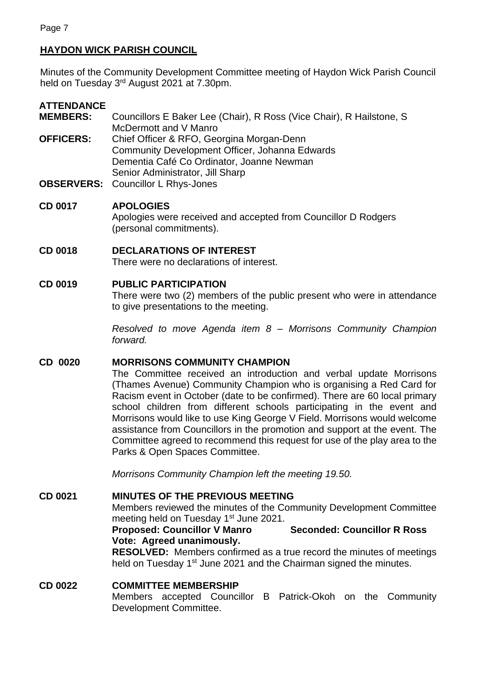# **HAYDON WICK PARISH COUNCIL**

Minutes of the Community Development Committee meeting of Haydon Wick Parish Council held on Tuesday 3<sup>rd</sup> August 2021 at 7.30pm.

## **ATTENDANCE**

- **MEMBERS:** Councillors E Baker Lee (Chair), R Ross (Vice Chair), R Hailstone, S McDermott and V Manro **OFFICERS:** Chief Officer & RFO, Georgina Morgan-Denn
- Community Development Officer, Johanna Edwards Dementia Café Co Ordinator, Joanne Newman Senior Administrator, Jill Sharp
- **OBSERVERS:** Councillor L Rhys-Jones

## **CD 0017 APOLOGIES**

Apologies were received and accepted from Councillor D Rodgers (personal commitments).

# **CD 0018 DECLARATIONS OF INTEREST**

There were no declarations of interest.

## **CD 0019 PUBLIC PARTICIPATION**

There were two (2) members of the public present who were in attendance to give presentations to the meeting.

*Resolved to move Agenda item 8 – Morrisons Community Champion forward.*

#### **CD 0020 MORRISONS COMMUNITY CHAMPION**

The Committee received an introduction and verbal update Morrisons (Thames Avenue) Community Champion who is organising a Red Card for Racism event in October (date to be confirmed). There are 60 local primary school children from different schools participating in the event and Morrisons would like to use King George V Field. Morrisons would welcome assistance from Councillors in the promotion and support at the event. The Committee agreed to recommend this request for use of the play area to the Parks & Open Spaces Committee.

*Morrisons Community Champion left the meeting 19.50.*

**CD 0021 MINUTES OF THE PREVIOUS MEETING**

Members reviewed the minutes of the Community Development Committee meeting held on Tuesday 1<sup>st</sup> June 2021.

## **Proposed: Councillor V Manro Seconded: Councillor R Ross Vote: Agreed unanimously.**

**RESOLVED:** Members confirmed as a true record the minutes of meetings held on Tuesday 1<sup>st</sup> June 2021 and the Chairman signed the minutes.

#### **CD 0022 COMMITTEE MEMBERSHIP**

Members accepted Councillor B Patrick-Okoh on the Community Development Committee.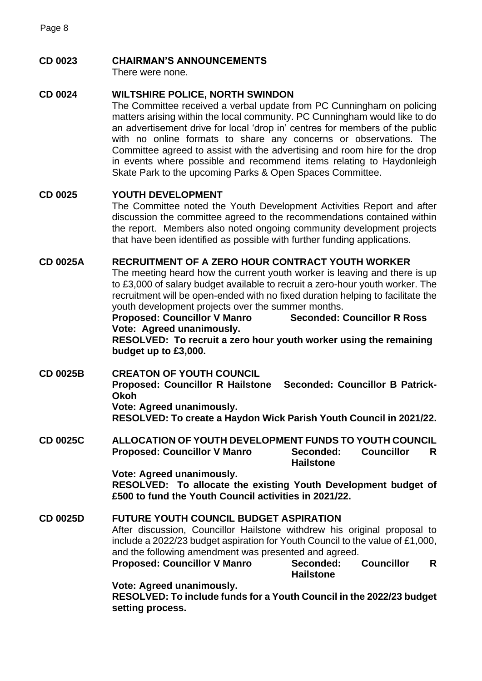## **CD 0023 CHAIRMAN'S ANNOUNCEMENTS**

There were none.

#### **CD 0024 WILTSHIRE POLICE, NORTH SWINDON**

The Committee received a verbal update from PC Cunningham on policing matters arising within the local community. PC Cunningham would like to do an advertisement drive for local 'drop in' centres for members of the public with no online formats to share any concerns or observations. The Committee agreed to assist with the advertising and room hire for the drop in events where possible and recommend items relating to Haydonleigh Skate Park to the upcoming Parks & Open Spaces Committee.

#### **CD 0025 YOUTH DEVELOPMENT**

The Committee noted the Youth Development Activities Report and after discussion the committee agreed to the recommendations contained within the report. Members also noted ongoing community development projects that have been identified as possible with further funding applications.

## **CD 0025A RECRUITMENT OF A ZERO HOUR CONTRACT YOUTH WORKER**

The meeting heard how the current youth worker is leaving and there is up to £3,000 of salary budget available to recruit a zero-hour youth worker. The recruitment will be open-ended with no fixed duration helping to facilitate the youth development projects over the summer months.

**Proposed: Councillor V Manro Seconded: Councillor R Ross Vote: Agreed unanimously.**

**RESOLVED: To recruit a zero hour youth worker using the remaining budget up to £3,000.**

**CD 0025B CREATON OF YOUTH COUNCIL Proposed: Councillor R Hailstone Seconded: Councillor B Patrick-Okoh Vote: Agreed unanimously. RESOLVED: To create a Haydon Wick Parish Youth Council in 2021/22.**

#### **CD 0025C ALLOCATION OF YOUTH DEVELOPMENT FUNDS TO YOUTH COUNCIL Proposed: Councillor V Manro Seconded: Councillor R Hailstone**

**Vote: Agreed unanimously. RESOLVED: To allocate the existing Youth Development budget of £500 to fund the Youth Council activities in 2021/22.** 

**CD 0025D FUTURE YOUTH COUNCIL BUDGET ASPIRATION** After discussion, Councillor Hailstone withdrew his original proposal to include a 2022/23 budget aspiration for Youth Council to the value of £1,000, and the following amendment was presented and agreed. **Proposed: Councillor V Manro Seconded: Councillor R Hailstone**

**Vote: Agreed unanimously.**

**RESOLVED: To include funds for a Youth Council in the 2022/23 budget setting process.**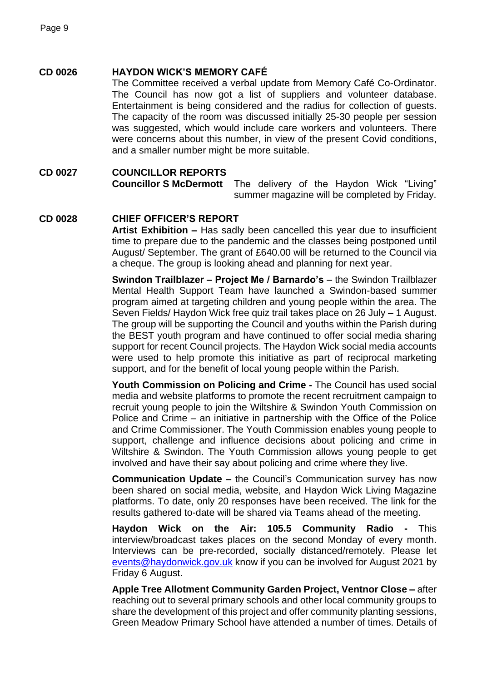## **CD 0026 HAYDON WICK'S MEMORY CAFÉ**

The Committee received a verbal update from Memory Café Co-Ordinator. The Council has now got a list of suppliers and volunteer database. Entertainment is being considered and the radius for collection of guests. The capacity of the room was discussed initially 25-30 people per session was suggested, which would include care workers and volunteers. There were concerns about this number, in view of the present Covid conditions, and a smaller number might be more suitable.

#### **CD 0027 COUNCILLOR REPORTS**

**Councillor S McDermott** The delivery of the Haydon Wick "Living" summer magazine will be completed by Friday.

#### **CD 0028 CHIEF OFFICER'S REPORT**

**Artist Exhibition –** Has sadly been cancelled this year due to insufficient time to prepare due to the pandemic and the classes being postponed until August/ September. The grant of £640.00 will be returned to the Council via a cheque. The group is looking ahead and planning for next year.

**Swindon Trailblazer – Project Me / Barnardo's** – the Swindon Trailblazer Mental Health Support Team have launched a Swindon-based summer program aimed at targeting children and young people within the area. The Seven Fields/ Haydon Wick free quiz trail takes place on 26 July – 1 August. The group will be supporting the Council and youths within the Parish during the BEST youth program and have continued to offer social media sharing support for recent Council projects. The Haydon Wick social media accounts were used to help promote this initiative as part of reciprocal marketing support, and for the benefit of local young people within the Parish.

**Youth Commission on Policing and Crime -** The Council has used social media and website platforms to promote the recent recruitment campaign to recruit young people to join the Wiltshire & Swindon Youth Commission on Police and Crime – an initiative in partnership with the Office of the Police and Crime Commissioner. The Youth Commission enables young people to support, challenge and influence decisions about policing and crime in Wiltshire & Swindon. The Youth Commission allows young people to get involved and have their say about policing and crime where they live.

**Communication Update –** the Council's Communication survey has now been shared on social media, website, and Haydon Wick Living Magazine platforms. To date, only 20 responses have been received. The link for the results gathered to-date will be shared via Teams ahead of the meeting.

**Haydon Wick on the Air: 105.5 Community Radio -** This interview/broadcast takes places on the second Monday of every month. Interviews can be pre-recorded, socially distanced/remotely. Please let [events@haydonwick.gov.uk](mailto:events@haydonwick.gov.uk) know if you can be involved for August 2021 by Friday 6 August.

**Apple Tree Allotment Community Garden Project, Ventnor Close –** after reaching out to several primary schools and other local community groups to share the development of this project and offer community planting sessions, Green Meadow Primary School have attended a number of times. Details of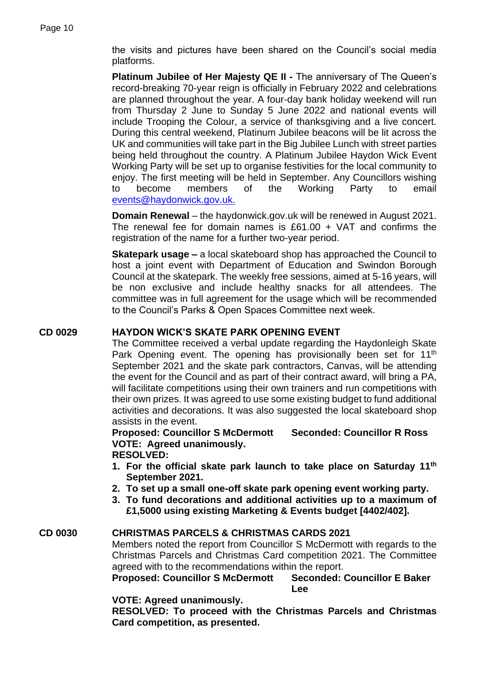the visits and pictures have been shared on the Council's social media platforms.

**Platinum Jubilee of Her Majesty QE II -** The anniversary of The Queen's record-breaking 70-year reign is officially in February 2022 and celebrations are planned throughout the year. A four-day bank holiday weekend will run from Thursday 2 June to Sunday 5 June 2022 and national events will include Trooping the Colour, a service of thanksgiving and a live concert. During this central weekend, Platinum Jubilee beacons will be lit across the UK and communities will take part in the Big Jubilee Lunch with street parties being held throughout the country. A Platinum Jubilee Haydon Wick Event Working Party will be set up to organise festivities for the local community to enjoy. The first meeting will be held in September. Any Councillors wishing to become members of the Working Party to email [events@haydonwick.gov.uk.](mailto:events@haydonwick.gov.uk)

**Domain Renewal** – the haydonwick.gov.uk will be renewed in August 2021. The renewal fee for domain names is  $£61.00 + VAT$  and confirms the registration of the name for a further two-year period.

**Skatepark usage –** a local skateboard shop has approached the Council to host a joint event with Department of Education and Swindon Borough Council at the skatepark. The weekly free sessions, aimed at 5-16 years, will be non exclusive and include healthy snacks for all attendees. The committee was in full agreement for the usage which will be recommended to the Council's Parks & Open Spaces Committee next week.

#### **CD 0029 HAYDON WICK'S SKATE PARK OPENING EVENT**

The Committee received a verbal update regarding the Haydonleigh Skate Park Opening event. The opening has provisionally been set for 11<sup>th</sup> September 2021 and the skate park contractors, Canvas, will be attending the event for the Council and as part of their contract award, will bring a PA, will facilitate competitions using their own trainers and run competitions with their own prizes. It was agreed to use some existing budget to fund additional activities and decorations. It was also suggested the local skateboard shop assists in the event.

# **Proposed: Councillor S McDermott Seconded: Councillor R Ross VOTE: Agreed unanimously.**

#### **RESOLVED:**

- **1. For the official skate park launch to take place on Saturday 11th September 2021.**
- **2. To set up a small one-off skate park opening event working party.**
- **3. To fund decorations and additional activities up to a maximum of £1,5000 using existing Marketing & Events budget [4402/402].**

#### **CD 0030 CHRISTMAS PARCELS & CHRISTMAS CARDS 2021**

Members noted the report from Councillor S McDermott with regards to the Christmas Parcels and Christmas Card competition 2021. The Committee agreed with to the recommendations within the report.

**Proposed: Councillor S McDermott Seconded: Councillor E Baker Lee**

**VOTE: Agreed unanimously.**

**RESOLVED: To proceed with the Christmas Parcels and Christmas Card competition, as presented.**